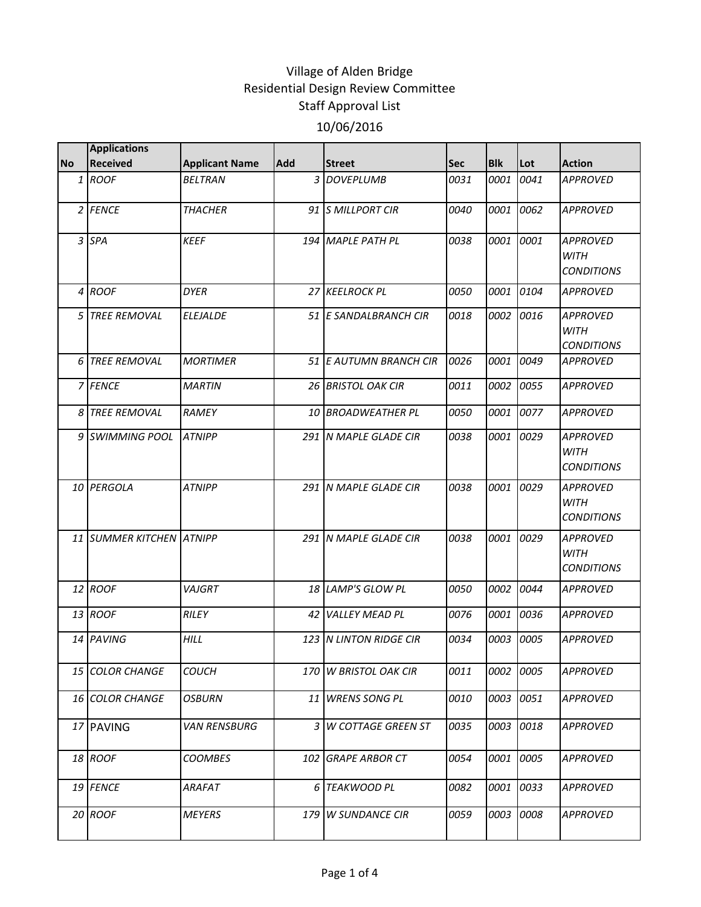| <b>Received</b><br>1 ROOF<br>2 FENCE | <b>Applicant Name</b><br><b>BELTRAN</b> | <b>Add</b><br>3          | <b>Street</b>             | <b>Sec</b>                                                                                                                                                                                                                                                                                                      | <b>Blk</b> | Lot  | <b>Action</b>                                       |
|--------------------------------------|-----------------------------------------|--------------------------|---------------------------|-----------------------------------------------------------------------------------------------------------------------------------------------------------------------------------------------------------------------------------------------------------------------------------------------------------------|------------|------|-----------------------------------------------------|
|                                      |                                         |                          | <b>DOVEPLUMB</b>          | 0031                                                                                                                                                                                                                                                                                                            | 0001       | 0041 | <b>APPROVED</b>                                     |
|                                      | <b>THACHER</b>                          |                          | 91 S MILLPORT CIR         | 0040                                                                                                                                                                                                                                                                                                            | 0001       | 0062 | <b>APPROVED</b>                                     |
| 3 SPA                                | <b>KEEF</b>                             |                          | 194 MAPLE PATH PL         | 0038                                                                                                                                                                                                                                                                                                            | 0001       | 0001 | <b>APPROVED</b><br><b>WITH</b><br><b>CONDITIONS</b> |
| <b>ROOF</b>                          | <b>DYER</b>                             |                          |                           | 0050                                                                                                                                                                                                                                                                                                            | 0001       | 0104 | <b>APPROVED</b>                                     |
| <b>TREE REMOVAL</b>                  | <b>ELEJALDE</b>                         |                          |                           | 0018                                                                                                                                                                                                                                                                                                            | 0002       | 0016 | <b>APPROVED</b><br><b>WITH</b><br><b>CONDITIONS</b> |
| <b>TREE REMOVAL</b>                  | <b>MORTIMER</b>                         |                          |                           | 0026                                                                                                                                                                                                                                                                                                            | 0001       | 0049 | <b>APPROVED</b>                                     |
| 7 FENCE                              | <b>MARTIN</b>                           |                          |                           | 0011                                                                                                                                                                                                                                                                                                            | 0002       | 0055 | <b>APPROVED</b>                                     |
| 8 TREE REMOVAL                       | <b>RAMEY</b>                            |                          |                           | 0050                                                                                                                                                                                                                                                                                                            | 0001       | 0077 | <b>APPROVED</b>                                     |
| 9 SWIMMING POOL                      | <b>ATNIPP</b>                           |                          |                           | 0038                                                                                                                                                                                                                                                                                                            | 0001       | 0029 | <b>APPROVED</b><br><b>WITH</b><br><b>CONDITIONS</b> |
| 10 PERGOLA                           | <b>ATNIPP</b>                           |                          |                           | 0038                                                                                                                                                                                                                                                                                                            | 0001       | 0029 | <b>APPROVED</b><br><b>WITH</b><br><b>CONDITIONS</b> |
|                                      |                                         | 291                      |                           | 0038                                                                                                                                                                                                                                                                                                            | 0001       | 0029 | <b>APPROVED</b><br><b>WITH</b><br><b>CONDITIONS</b> |
| 12 ROOF                              | VAJGRT                                  |                          |                           | 0050                                                                                                                                                                                                                                                                                                            | 0002       | 0044 | <b>APPROVED</b>                                     |
| 13 ROOF                              | RILEY                                   | 42                       |                           | 0076                                                                                                                                                                                                                                                                                                            | 0001       | 0036 | <b>APPROVED</b>                                     |
| PAVING                               | <b>HILL</b>                             | 123                      |                           | 0034                                                                                                                                                                                                                                                                                                            | 0003       | 0005 | <b>APPROVED</b>                                     |
| 15 COLOR CHANGE                      | <b>COUCH</b>                            | 170                      | <b>W BRISTOL OAK CIR</b>  | 0011                                                                                                                                                                                                                                                                                                            | 0002       | 0005 | <b>APPROVED</b>                                     |
| 16 COLOR CHANGE                      | <b>OSBURN</b>                           | 11                       |                           | 0010                                                                                                                                                                                                                                                                                                            | 0003       | 0051 | <b>APPROVED</b>                                     |
| 17 PAVING                            | VAN RENSBURG                            | 3                        | <b>W COTTAGE GREEN ST</b> | 0035                                                                                                                                                                                                                                                                                                            | 0003       | 0018 | <b>APPROVED</b>                                     |
| 18 ROOF                              | <b>COOMBES</b>                          | 102                      | <b>GRAPE ARBOR CT</b>     | 0054                                                                                                                                                                                                                                                                                                            | 0001       | 0005 | <b>APPROVED</b>                                     |
| 19 FENCE                             | ARAFAT                                  |                          |                           | 0082                                                                                                                                                                                                                                                                                                            | 0001       | 0033 | <b>APPROVED</b>                                     |
| 20 ROOF                              | <b>MEYERS</b>                           | 179                      | <b>W SUNDANCE CIR</b>     | 0059                                                                                                                                                                                                                                                                                                            | 0003       | 0008 | <b>APPROVED</b>                                     |
|                                      |                                         | 11 SUMMER KITCHEN ATNIPP |                           | 27 KEELROCK PL<br>51 E SANDALBRANCH CIR<br>51 E AUTUMN BRANCH CIR<br>26 BRISTOL OAK CIR<br>10 BROADWEATHER PL<br>291 N MAPLE GLADE CIR<br>291 N MAPLE GLADE CIR<br><b>N MAPLE GLADE CIR</b><br>18 LAMP'S GLOW PL<br><b>VALLEY MEAD PL</b><br><b>N LINTON RIDGE CIR</b><br><b>WRENS SONG PL</b><br>6 TEAKWOOD PL |            |      |                                                     |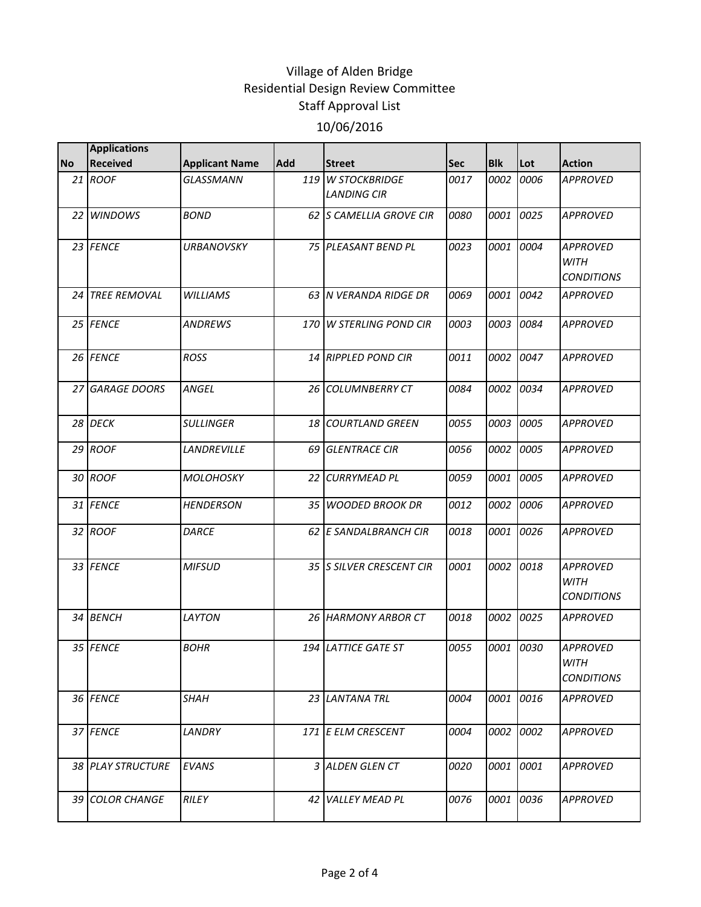|           | <b>Applications</b> |                       |                 |                                         |      |            |           |                                                     |
|-----------|---------------------|-----------------------|-----------------|-----------------------------------------|------|------------|-----------|-----------------------------------------------------|
| <b>No</b> | <b>Received</b>     | <b>Applicant Name</b> | Add             | <b>Street</b>                           | Sec  | <b>Blk</b> | Lot       | <b>Action</b>                                       |
|           | 21 ROOF             | GLASSMANN             |                 | 119 W STOCKBRIDGE<br><b>LANDING CIR</b> | 0017 | 0002       | 0006      | <b>APPROVED</b>                                     |
|           | 22 WINDOWS          | <b>BOND</b>           |                 | 62 S CAMELLIA GROVE CIR                 | 0080 | 0001       | 0025      | <b>APPROVED</b>                                     |
|           | 23 FENCE            | <b>URBANOVSKY</b>     |                 | 75 PLEASANT BEND PL                     | 0023 | 0001       | 0004      | <b>APPROVED</b><br><b>WITH</b><br><b>CONDITIONS</b> |
|           | 24 TREE REMOVAL     | <b>WILLIAMS</b>       |                 | 63 N VERANDA RIDGE DR                   | 0069 | 0001       | 0042      | <b>APPROVED</b>                                     |
|           | 25 FENCE            | <b>ANDREWS</b>        |                 | 170 W STERLING POND CIR                 | 0003 | 0003       | 0084      | <b>APPROVED</b>                                     |
|           | 26 FENCE            | <b>ROSS</b>           |                 | 14 RIPPLED POND CIR                     | 0011 | 0002       | 0047      | <b>APPROVED</b>                                     |
|           | 27 GARAGE DOORS     | <b>ANGEL</b>          |                 | 26 COLUMNBERRY CT                       | 0084 | 0002       | 0034      | <b>APPROVED</b>                                     |
|           | 28 DECK             | <b>SULLINGER</b>      |                 | 18 COURTLAND GREEN                      | 0055 | 0003       | 0005      | <b>APPROVED</b>                                     |
|           | 29 ROOF             | LANDREVILLE           | 69 I            | <b>GLENTRACE CIR</b>                    | 0056 | 0002       | 0005      | <b>APPROVED</b>                                     |
|           | 30 ROOF             | <b>MOLOHOSKY</b>      | 22 <sub>1</sub> | <b>CURRYMEAD PL</b>                     | 0059 | 0001       | 0005      | <b>APPROVED</b>                                     |
|           | 31 FENCE            | <b>HENDERSON</b>      |                 | 35 WOODED BROOK DR                      | 0012 | 0002       | 0006      | <b>APPROVED</b>                                     |
|           | 32 ROOF             | <b>DARCE</b>          |                 | 62 E SANDALBRANCH CIR                   | 0018 | 0001       | 0026      | <b>APPROVED</b>                                     |
|           | 33 FENCE            | <b>MIFSUD</b>         |                 | 35 SILVER CRESCENT CIR                  | 0001 | 0002       | 0018      | <b>APPROVED</b><br><b>WITH</b><br><b>CONDITIONS</b> |
|           | 34 BENCH            | <b>LAYTON</b>         |                 | 26 HARMONY ARBOR CT                     | 0018 | 0002       | 0025      | <b>APPROVED</b>                                     |
|           | 35 FENCE            | <b>BOHR</b>           |                 | <b>194 LATTICE GATE ST</b>              | 0055 | 0001       | 0030      | <b>APPROVED</b><br><b>WITH</b><br><b>CONDITIONS</b> |
|           | 36 FENCE            | <b>SHAH</b>           |                 | 23 LANTANA TRL                          | 0004 |            | 0001 0016 | <b>APPROVED</b>                                     |
|           | 37 FENCE            | LANDRY                |                 | 171 E ELM CRESCENT                      | 0004 | 0002       | 0002      | <b>APPROVED</b>                                     |
|           | 38 PLAY STRUCTURE   | <b>EVANS</b>          |                 | 3 ALDEN GLEN CT                         | 0020 | 0001       | 0001      | <b>APPROVED</b>                                     |
|           | 39 COLOR CHANGE     | <b>RILEY</b>          | 42              | <b>VALLEY MEAD PL</b>                   | 0076 | 0001       | 0036      | <b>APPROVED</b>                                     |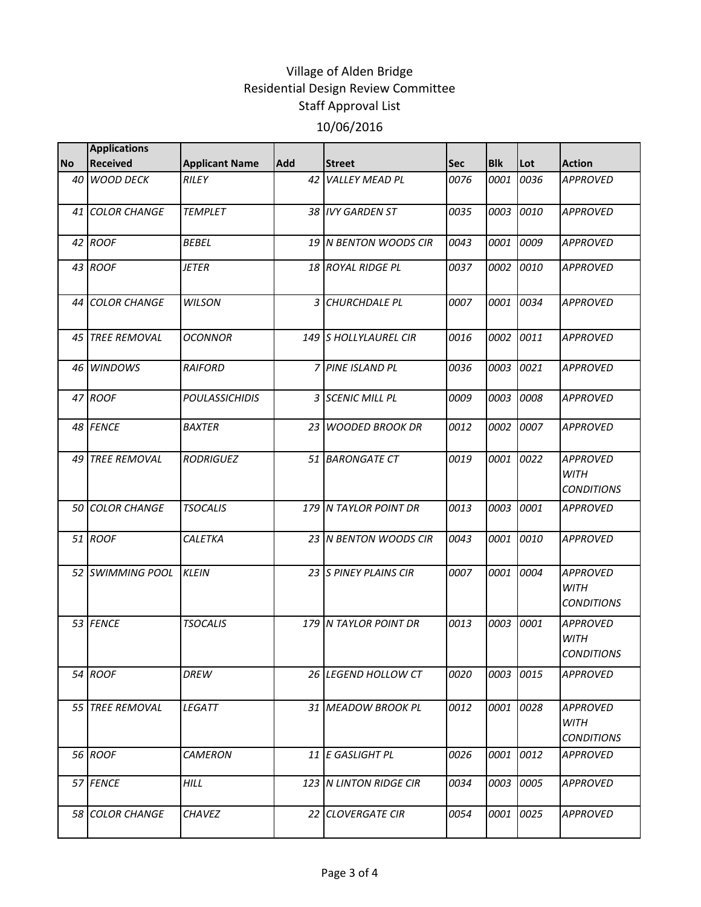|           | <b>Applications</b>    |                       |            |                                |      |            |           |                                                     |
|-----------|------------------------|-----------------------|------------|--------------------------------|------|------------|-----------|-----------------------------------------------------|
| <b>No</b> | <b>Received</b>        | <b>Applicant Name</b> | <b>Add</b> | <b>Street</b>                  | Sec  | <b>Blk</b> | Lot       | <b>Action</b>                                       |
|           | 40 WOOD DECK           | RILEY                 | 42         | <b>VALLEY MEAD PL</b>          | 0076 | 0001       | 0036      | <b>APPROVED</b>                                     |
|           | 41 COLOR CHANGE        | <b>TEMPLET</b>        |            | 38 IVY GARDEN ST               | 0035 |            | 0003 0010 | <b>APPROVED</b>                                     |
|           | 42 ROOF                | <b>BEBEL</b>          |            | 19 IN BENTON WOODS CIR         | 0043 | 0001       | 0009      | <b>APPROVED</b>                                     |
|           | 43 ROOF                | <i>JETER</i>          |            | 18 ROYAL RIDGE PL              | 0037 |            | 0002 0010 | <b>APPROVED</b>                                     |
|           | 44 COLOR CHANGE        | <b>WILSON</b>         |            | 3 CHURCHDALE PL                | 0007 |            | 0001 0034 | <b>APPROVED</b>                                     |
| 45 I      | <b>TREE REMOVAL</b>    | <b>OCONNOR</b>        |            | 149 S HOLLYLAUREL CIR          | 0016 | 0002       | 0011      | <b>APPROVED</b>                                     |
|           | 46 WINDOWS             | <b>RAIFORD</b>        |            | 7 PINE ISLAND PL               | 0036 | 0003       | 0021      | <b>APPROVED</b>                                     |
|           | 47 ROOF                | <b>POULASSICHIDIS</b> |            | 3 SCENIC MILL PL               | 0009 |            | 0003 0008 | <b>APPROVED</b>                                     |
|           | 48 FENCE               | <b>BAXTER</b>         |            | 23 WOODED BROOK DR             | 0012 | 0002       | 0007      | <b>APPROVED</b>                                     |
|           | 49 TREE REMOVAL        | <b>RODRIGUEZ</b>      |            | 51 BARONGATE CT                | 0019 | 0001       | 0022      | <b>APPROVED</b><br>WITH<br><b>CONDITIONS</b>        |
|           | 50 COLOR CHANGE        | <b>TSOCALIS</b>       |            | 179 N TAYLOR POINT DR          | 0013 | 0003       | 0001      | <b>APPROVED</b>                                     |
|           | 51 ROOF                | <b>CALETKA</b>        |            | 23 N BENTON WOODS CIR          | 0043 | 0001       | 0010      | <b>APPROVED</b>                                     |
|           | 52 SWIMMING POOL       | <b>KLEIN</b>          |            | 23 S PINEY PLAINS CIR          | 0007 | 0001       | 0004      | <b>APPROVED</b><br><b>WITH</b><br><b>CONDITIONS</b> |
|           | 53 FENCE               | <b>TSOCALIS</b>       |            | 179 N TAYLOR POINT DR          | 0013 | 0003       | 0001      | <b>APPROVED</b><br><b>WITH</b><br><b>CONDITIONS</b> |
|           | 54 ROOF                | DREW                  |            | 26 LEGEND HOLLOW CT            | 0020 |            | 0003 0015 | <b>APPROVED</b>                                     |
|           | 55 TREE REMOVAL        | <b>LEGATT</b>         |            | 31 MEADOW BROOK PL             | 0012 |            | 0001 0028 | <b>APPROVED</b><br><b>WITH</b><br><b>CONDITIONS</b> |
|           | 56 ROOF                | <b>CAMERON</b>        |            | 11 E GASLIGHT PL               | 0026 |            | 0001 0012 | <b>APPROVED</b>                                     |
|           | 57 FENCE               | <b>HILL</b>           |            | <b>123 IN LINTON RIDGE CIR</b> | 0034 |            | 0003 0005 | <b>APPROVED</b>                                     |
|           | <b>58 COLOR CHANGE</b> | <b>CHAVEZ</b>         |            | 22 CLOVERGATE CIR              | 0054 | 0001       | 0025      | <b>APPROVED</b>                                     |